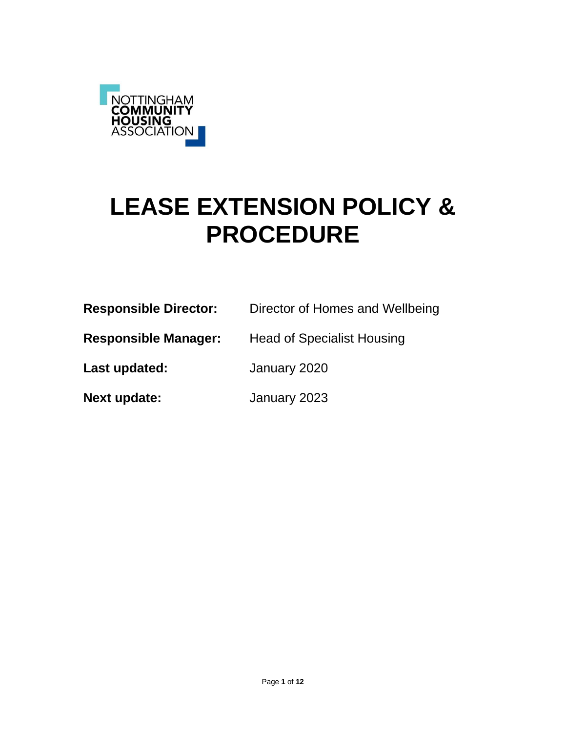

# **LEASE EXTENSION POLICY & PROCEDURE**

| <b>Responsible Director:</b> | Director of Homes and Wellbeing   |
|------------------------------|-----------------------------------|
| <b>Responsible Manager:</b>  | <b>Head of Specialist Housing</b> |

**Last updated:** January 2020

**Next update:** January 2023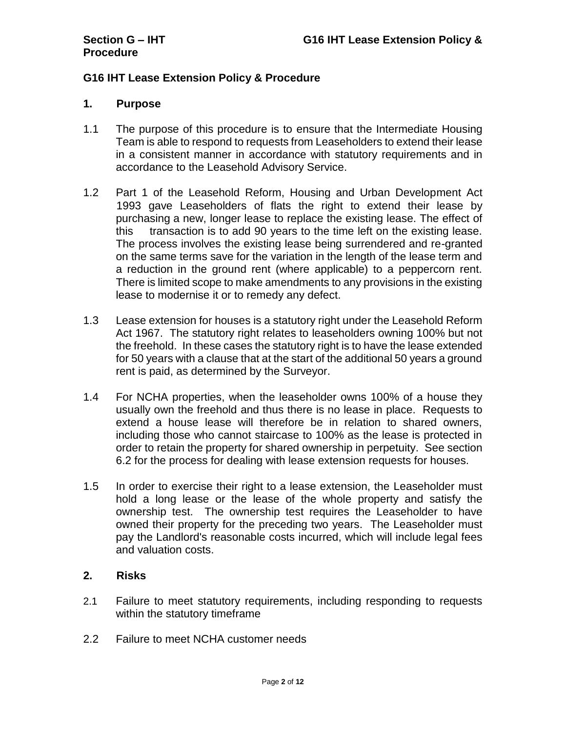# **G16 IHT Lease Extension Policy & Procedure**

#### **1. Purpose**

- 1.1 The purpose of this procedure is to ensure that the Intermediate Housing Team is able to respond to requests from Leaseholders to extend their lease in a consistent manner in accordance with statutory requirements and in accordance to the Leasehold Advisory Service.
- 1.2 Part 1 of the Leasehold Reform, Housing and Urban Development Act 1993 gave Leaseholders of flats the right to extend their lease by purchasing a new, longer lease to replace the existing lease. The effect of this transaction is to add 90 years to the time left on the existing lease. The process involves the existing lease being surrendered and re-granted on the same terms save for the variation in the length of the lease term and a reduction in the ground rent (where applicable) to a peppercorn rent. There is limited scope to make amendments to any provisions in the existing lease to modernise it or to remedy any defect.
- 1.3 Lease extension for houses is a statutory right under the Leasehold Reform Act 1967. The statutory right relates to leaseholders owning 100% but not the freehold. In these cases the statutory right is to have the lease extended for 50 years with a clause that at the start of the additional 50 years a ground rent is paid, as determined by the Surveyor.
- 1.4 For NCHA properties, when the leaseholder owns 100% of a house they usually own the freehold and thus there is no lease in place. Requests to extend a house lease will therefore be in relation to shared owners, including those who cannot staircase to 100% as the lease is protected in order to retain the property for shared ownership in perpetuity. See section 6.2 for the process for dealing with lease extension requests for houses.
- 1.5 In order to exercise their right to a lease extension, the Leaseholder must hold a long lease or the lease of the whole property and satisfy the ownership test. The ownership test requires the Leaseholder to have owned their property for the preceding two years. The Leaseholder must pay the Landlord's reasonable costs incurred, which will include legal fees and valuation costs.

# **2. Risks**

- 2.1 Failure to meet statutory requirements, including responding to requests within the statutory timeframe
- 2.2 Failure to meet NCHA customer needs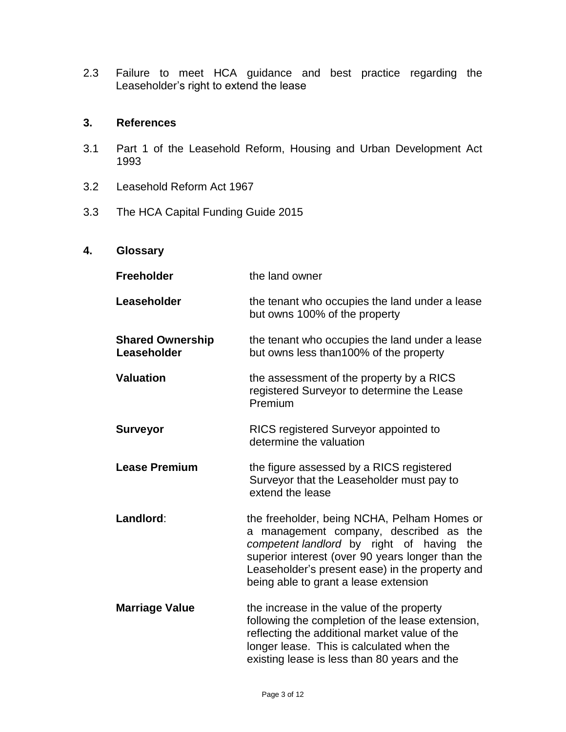2.3 Failure to meet HCA guidance and best practice regarding the Leaseholder's right to extend the lease

### **3. References**

- 3.1 Part 1 of the Leasehold Reform, Housing and Urban Development Act 1993
- 3.2 Leasehold Reform Act 1967
- 3.3 The HCA Capital Funding Guide 2015

# **4. Glossary**

| <b>Freeholder</b>                      | the land owner                                                                                                                                                                                                                                                                        |
|----------------------------------------|---------------------------------------------------------------------------------------------------------------------------------------------------------------------------------------------------------------------------------------------------------------------------------------|
| Leaseholder                            | the tenant who occupies the land under a lease<br>but owns 100% of the property                                                                                                                                                                                                       |
| <b>Shared Ownership</b><br>Leaseholder | the tenant who occupies the land under a lease<br>but owns less than 100% of the property                                                                                                                                                                                             |
| <b>Valuation</b>                       | the assessment of the property by a RICS<br>registered Surveyor to determine the Lease<br>Premium                                                                                                                                                                                     |
| <b>Surveyor</b>                        | RICS registered Surveyor appointed to<br>determine the valuation                                                                                                                                                                                                                      |
| <b>Lease Premium</b>                   | the figure assessed by a RICS registered<br>Surveyor that the Leaseholder must pay to<br>extend the lease                                                                                                                                                                             |
| Landlord:                              | the freeholder, being NCHA, Pelham Homes or<br>a management company, described as the<br>competent landlord by right of having<br>the<br>superior interest (over 90 years longer than the<br>Leaseholder's present ease) in the property and<br>being able to grant a lease extension |
| <b>Marriage Value</b>                  | the increase in the value of the property<br>following the completion of the lease extension,<br>reflecting the additional market value of the<br>longer lease. This is calculated when the<br>existing lease is less than 80 years and the                                           |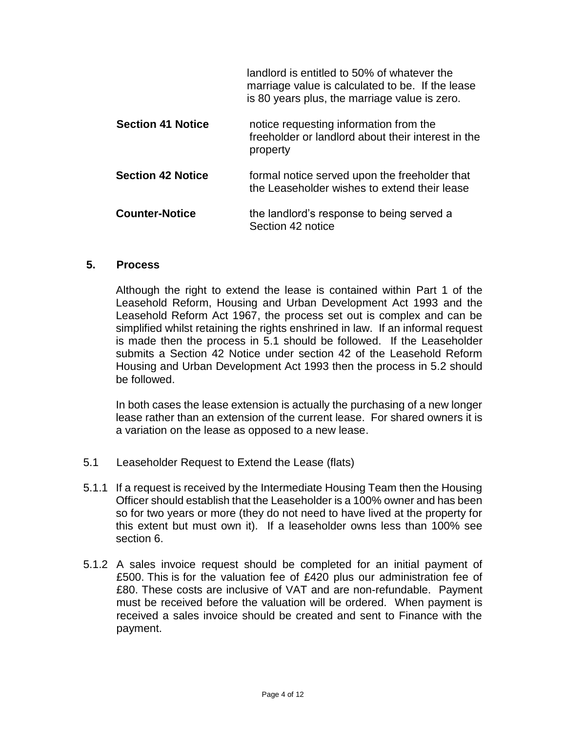|                          | landlord is entitled to 50% of whatever the<br>marriage value is calculated to be. If the lease<br>is 80 years plus, the marriage value is zero. |
|--------------------------|--------------------------------------------------------------------------------------------------------------------------------------------------|
| <b>Section 41 Notice</b> | notice requesting information from the<br>freeholder or landlord about their interest in the<br>property                                         |
| <b>Section 42 Notice</b> | formal notice served upon the freeholder that<br>the Leaseholder wishes to extend their lease                                                    |
| <b>Counter-Notice</b>    | the landlord's response to being served a<br>Section 42 notice                                                                                   |

#### **5. Process**

Although the right to extend the lease is contained within Part 1 of the Leasehold Reform, Housing and Urban Development Act 1993 and the Leasehold Reform Act 1967, the process set out is complex and can be simplified whilst retaining the rights enshrined in law. If an informal request is made then the process in 5.1 should be followed. If the Leaseholder submits a Section 42 Notice under section 42 of the Leasehold Reform Housing and Urban Development Act 1993 then the process in 5.2 should be followed.

In both cases the lease extension is actually the purchasing of a new longer lease rather than an extension of the current lease. For shared owners it is a variation on the lease as opposed to a new lease.

- 5.1 Leaseholder Request to Extend the Lease (flats)
- 5.1.1 If a request is received by the Intermediate Housing Team then the Housing Officer should establish that the Leaseholder is a 100% owner and has been so for two years or more (they do not need to have lived at the property for this extent but must own it). If a leaseholder owns less than 100% see section 6.
- 5.1.2 A sales invoice request should be completed for an initial payment of £500. This is for the valuation fee of £420 plus our administration fee of £80. These costs are inclusive of VAT and are non-refundable. Payment must be received before the valuation will be ordered. When payment is received a sales invoice should be created and sent to Finance with the payment.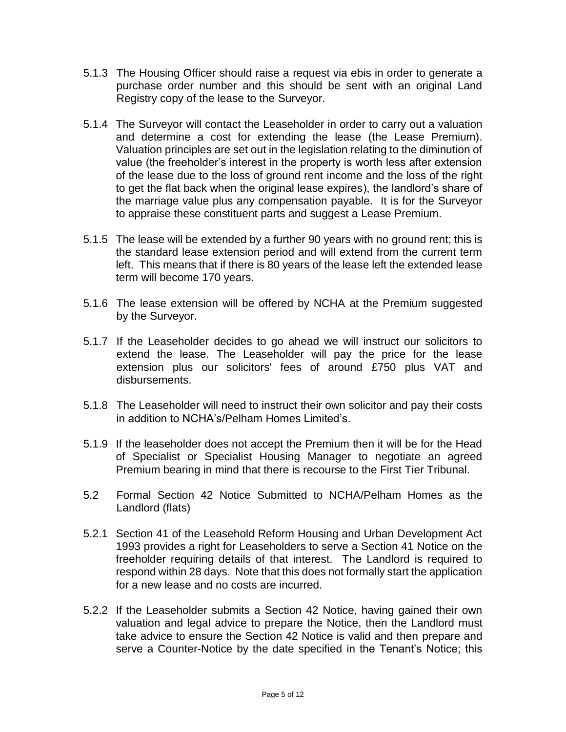- 5.1.3 The Housing Officer should raise a request via ebis in order to generate a purchase order number and this should be sent with an original Land Registry copy of the lease to the Surveyor.
- 5.1.4 The Surveyor will contact the Leaseholder in order to carry out a valuation and determine a cost for extending the lease (the Lease Premium). Valuation principles are set out in the legislation relating to the diminution of value (the freeholder's interest in the property is worth less after extension of the lease due to the loss of ground rent income and the loss of the right to get the flat back when the original lease expires), the landlord's share of the marriage value plus any compensation payable. It is for the Surveyor to appraise these constituent parts and suggest a Lease Premium.
- 5.1.5 The lease will be extended by a further 90 years with no ground rent; this is the standard lease extension period and will extend from the current term left. This means that if there is 80 years of the lease left the extended lease term will become 170 years.
- 5.1.6 The lease extension will be offered by NCHA at the Premium suggested by the Surveyor.
- 5.1.7 If the Leaseholder decides to go ahead we will instruct our solicitors to extend the lease. The Leaseholder will pay the price for the lease extension plus our solicitors' fees of around £750 plus VAT and disbursements.
- 5.1.8 The Leaseholder will need to instruct their own solicitor and pay their costs in addition to NCHA's/Pelham Homes Limited's.
- 5.1.9 If the leaseholder does not accept the Premium then it will be for the Head of Specialist or Specialist Housing Manager to negotiate an agreed Premium bearing in mind that there is recourse to the First Tier Tribunal.
- 5.2 Formal Section 42 Notice Submitted to NCHA/Pelham Homes as the Landlord (flats)
- 5.2.1 Section 41 of the Leasehold Reform Housing and Urban Development Act 1993 provides a right for Leaseholders to serve a Section 41 Notice on the freeholder requiring details of that interest. The Landlord is required to respond within 28 days. Note that this does not formally start the application for a new lease and no costs are incurred.
- 5.2.2 If the Leaseholder submits a Section 42 Notice, having gained their own valuation and legal advice to prepare the Notice, then the Landlord must take advice to ensure the Section 42 Notice is valid and then prepare and serve a Counter-Notice by the date specified in the Tenant's Notice; this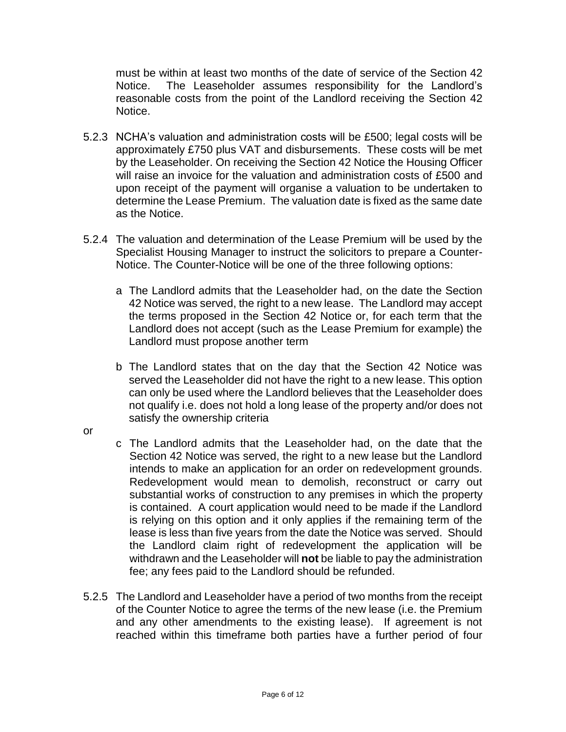must be within at least two months of the date of service of the Section 42 Notice. The Leaseholder assumes responsibility for the Landlord's reasonable costs from the point of the Landlord receiving the Section 42 Notice.

- 5.2.3 NCHA's valuation and administration costs will be £500; legal costs will be approximately £750 plus VAT and disbursements. These costs will be met by the Leaseholder. On receiving the Section 42 Notice the Housing Officer will raise an invoice for the valuation and administration costs of £500 and upon receipt of the payment will organise a valuation to be undertaken to determine the Lease Premium. The valuation date is fixed as the same date as the Notice.
- 5.2.4 The valuation and determination of the Lease Premium will be used by the Specialist Housing Manager to instruct the solicitors to prepare a Counter-Notice. The Counter-Notice will be one of the three following options:
	- a The Landlord admits that the Leaseholder had, on the date the Section 42 Notice was served, the right to a new lease. The Landlord may accept the terms proposed in the Section 42 Notice or, for each term that the Landlord does not accept (such as the Lease Premium for example) the Landlord must propose another term
	- b The Landlord states that on the day that the Section 42 Notice was served the Leaseholder did not have the right to a new lease. This option can only be used where the Landlord believes that the Leaseholder does not qualify i.e. does not hold a long lease of the property and/or does not satisfy the ownership criteria
- or
- c The Landlord admits that the Leaseholder had, on the date that the Section 42 Notice was served, the right to a new lease but the Landlord intends to make an application for an order on redevelopment grounds. Redevelopment would mean to demolish, reconstruct or carry out substantial works of construction to any premises in which the property is contained. A court application would need to be made if the Landlord is relying on this option and it only applies if the remaining term of the lease is less than five years from the date the Notice was served. Should the Landlord claim right of redevelopment the application will be withdrawn and the Leaseholder will **not** be liable to pay the administration fee; any fees paid to the Landlord should be refunded.
- 5.2.5 The Landlord and Leaseholder have a period of two months from the receipt of the Counter Notice to agree the terms of the new lease (i.e. the Premium and any other amendments to the existing lease). If agreement is not reached within this timeframe both parties have a further period of four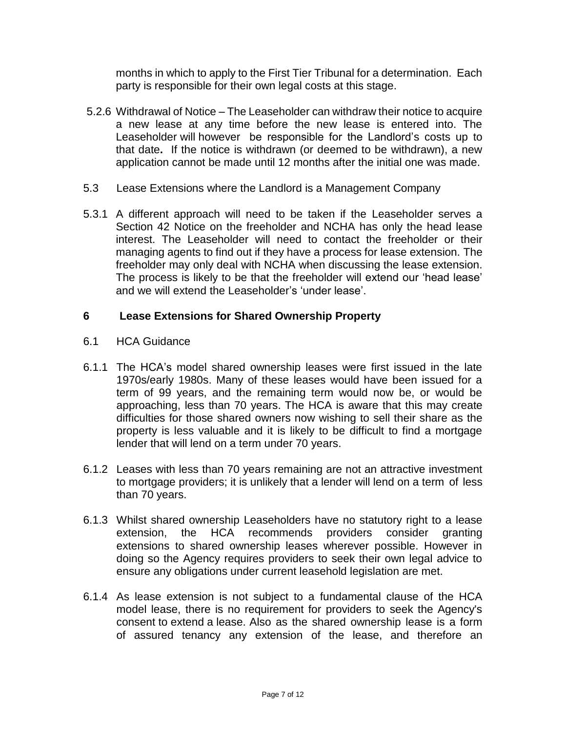months in which to apply to the First Tier Tribunal for a determination. Each party is responsible for their own legal costs at this stage.

- 5.2.6 Withdrawal of Notice The Leaseholder can withdraw their notice to acquire a new lease at any time before the new lease is entered into. The Leaseholder will however be responsible for the Landlord's costs up to that date**.** If the notice is withdrawn (or deemed to be withdrawn), a new application cannot be made until 12 months after the initial one was made.
- 5.3 Lease Extensions where the Landlord is a Management Company
- 5.3.1 A different approach will need to be taken if the Leaseholder serves a Section 42 Notice on the freeholder and NCHA has only the head lease interest. The Leaseholder will need to contact the freeholder or their managing agents to find out if they have a process for lease extension. The freeholder may only deal with NCHA when discussing the lease extension. The process is likely to be that the freeholder will extend our 'head lease' and we will extend the Leaseholder's 'under lease'.

#### **6 Lease Extensions for Shared Ownership Property**

- 6.1 HCA Guidance
- 6.1.1 The HCA's model shared ownership leases were first issued in the late 1970s/early 1980s. Many of these leases would have been issued for a term of 99 years, and the remaining term would now be, or would be approaching, less than 70 years. The HCA is aware that this may create difficulties for those shared owners now wishing to sell their share as the property is less valuable and it is likely to be difficult to find a mortgage lender that will lend on a term under 70 years.
- 6.1.2 Leases with less than 70 years remaining are not an attractive investment to mortgage providers; it is unlikely that a lender will lend on a term of less than 70 years.
- 6.1.3 Whilst shared ownership Leaseholders have no statutory right to a lease extension, the HCA recommends providers consider granting extensions to shared ownership leases wherever possible. However in doing so the Agency requires providers to seek their own legal advice to ensure any obligations under current leasehold legislation are met.
- 6.1.4 As lease extension is not subject to a fundamental clause of the HCA model lease, there is no requirement for providers to seek the Agency's consent to extend a lease. Also as the shared ownership lease is a form of assured tenancy any extension of the lease, and therefore an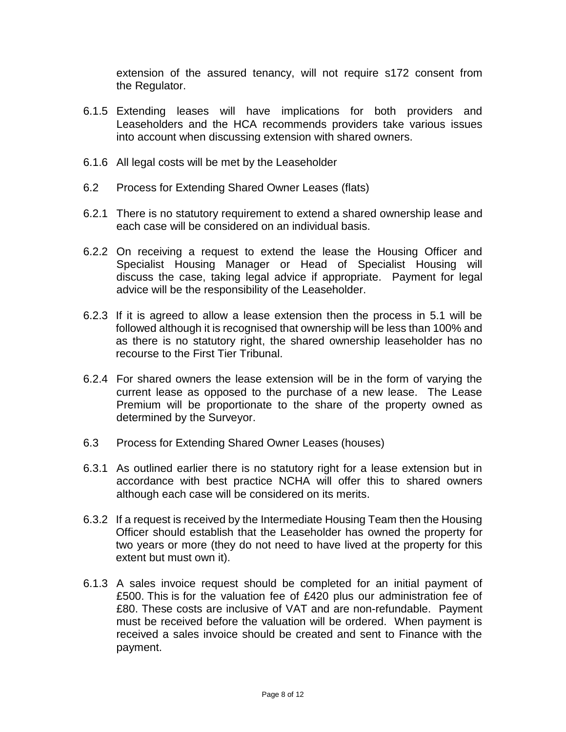extension of the assured tenancy, will not require s172 consent from the Regulator.

- 6.1.5 Extending leases will have implications for both providers and Leaseholders and the HCA recommends providers take various issues into account when discussing extension with shared owners.
- 6.1.6 All legal costs will be met by the Leaseholder
- 6.2 Process for Extending Shared Owner Leases (flats)
- 6.2.1 There is no statutory requirement to extend a shared ownership lease and each case will be considered on an individual basis.
- 6.2.2 On receiving a request to extend the lease the Housing Officer and Specialist Housing Manager or Head of Specialist Housing will discuss the case, taking legal advice if appropriate. Payment for legal advice will be the responsibility of the Leaseholder.
- 6.2.3 If it is agreed to allow a lease extension then the process in 5.1 will be followed although it is recognised that ownership will be less than 100% and as there is no statutory right, the shared ownership leaseholder has no recourse to the First Tier Tribunal.
- 6.2.4 For shared owners the lease extension will be in the form of varying the current lease as opposed to the purchase of a new lease. The Lease Premium will be proportionate to the share of the property owned as determined by the Surveyor.
- 6.3 Process for Extending Shared Owner Leases (houses)
- 6.3.1 As outlined earlier there is no statutory right for a lease extension but in accordance with best practice NCHA will offer this to shared owners although each case will be considered on its merits.
- 6.3.2 If a request is received by the Intermediate Housing Team then the Housing Officer should establish that the Leaseholder has owned the property for two years or more (they do not need to have lived at the property for this extent but must own it).
- 6.1.3 A sales invoice request should be completed for an initial payment of £500. This is for the valuation fee of £420 plus our administration fee of £80. These costs are inclusive of VAT and are non-refundable. Payment must be received before the valuation will be ordered. When payment is received a sales invoice should be created and sent to Finance with the payment.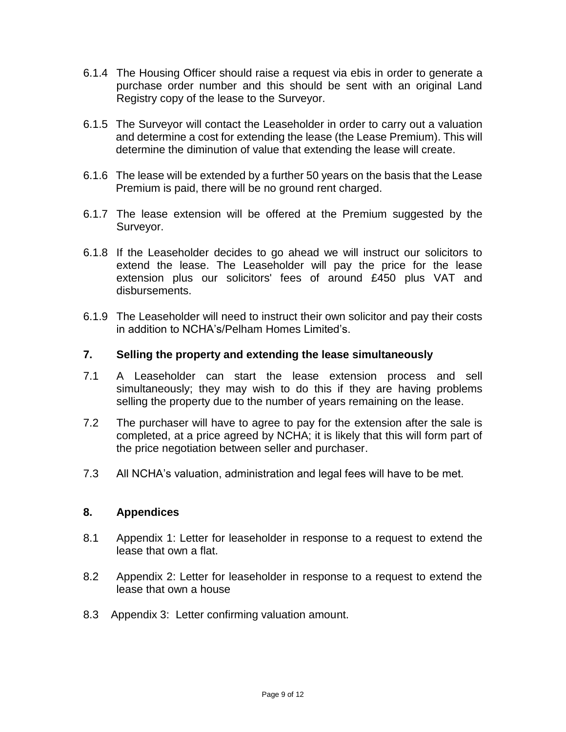- 6.1.4 The Housing Officer should raise a request via ebis in order to generate a purchase order number and this should be sent with an original Land Registry copy of the lease to the Surveyor.
- 6.1.5 The Surveyor will contact the Leaseholder in order to carry out a valuation and determine a cost for extending the lease (the Lease Premium). This will determine the diminution of value that extending the lease will create.
- 6.1.6 The lease will be extended by a further 50 years on the basis that the Lease Premium is paid, there will be no ground rent charged.
- 6.1.7 The lease extension will be offered at the Premium suggested by the Surveyor.
- 6.1.8 If the Leaseholder decides to go ahead we will instruct our solicitors to extend the lease. The Leaseholder will pay the price for the lease extension plus our solicitors' fees of around £450 plus VAT and disbursements.
- 6.1.9 The Leaseholder will need to instruct their own solicitor and pay their costs in addition to NCHA's/Pelham Homes Limited's.

# **7. Selling the property and extending the lease simultaneously**

- 7.1 A Leaseholder can start the lease extension process and sell simultaneously; they may wish to do this if they are having problems selling the property due to the number of years remaining on the lease.
- 7.2 The purchaser will have to agree to pay for the extension after the sale is completed, at a price agreed by NCHA; it is likely that this will form part of the price negotiation between seller and purchaser.
- 7.3 All NCHA's valuation, administration and legal fees will have to be met.

### **8. Appendices**

- 8.1 Appendix 1: Letter for leaseholder in response to a request to extend the lease that own a flat.
- 8.2 Appendix 2: Letter for leaseholder in response to a request to extend the lease that own a house
- 8.3 Appendix 3: Letter confirming valuation amount.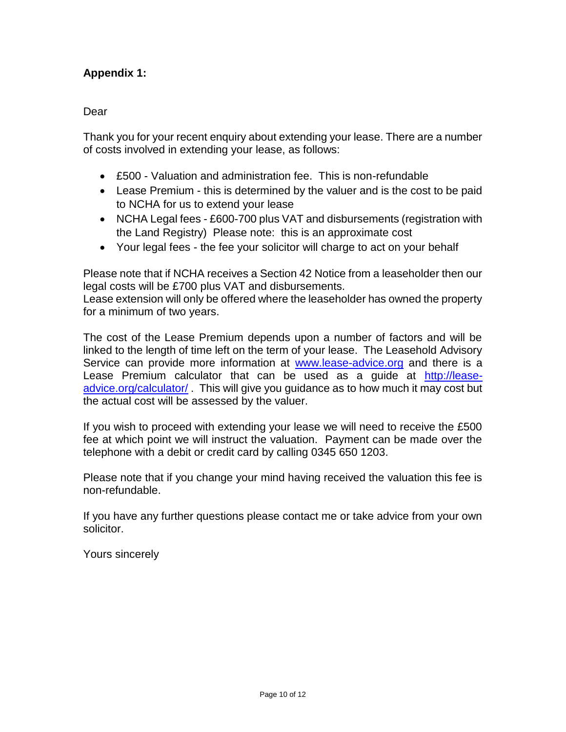# **Appendix 1:**

#### Dear

Thank you for your recent enquiry about extending your lease. There are a number of costs involved in extending your lease, as follows:

- £500 Valuation and administration fee. This is non-refundable
- Lease Premium this is determined by the valuer and is the cost to be paid to NCHA for us to extend your lease
- NCHA Legal fees £600-700 plus VAT and disbursements (registration with the Land Registry) Please note: this is an approximate cost
- Your legal fees the fee your solicitor will charge to act on your behalf

Please note that if NCHA receives a Section 42 Notice from a leaseholder then our legal costs will be £700 plus VAT and disbursements.

Lease extension will only be offered where the leaseholder has owned the property for a minimum of two years.

The cost of the Lease Premium depends upon a number of factors and will be linked to the length of time left on the term of your lease. The Leasehold Advisory Service can provide more information at [www.lease-advice.org](http://www.lease-advice.org/) and there is a Lease Premium calculator that can be used as a guide at [http://lease](http://lease-advice.org/calculator/)[advice.org/calculator/](http://lease-advice.org/calculator/) . This will give you guidance as to how much it may cost but the actual cost will be assessed by the valuer.

If you wish to proceed with extending your lease we will need to receive the £500 fee at which point we will instruct the valuation. Payment can be made over the telephone with a debit or credit card by calling 0345 650 1203.

Please note that if you change your mind having received the valuation this fee is non-refundable.

If you have any further questions please contact me or take advice from your own solicitor.

Yours sincerely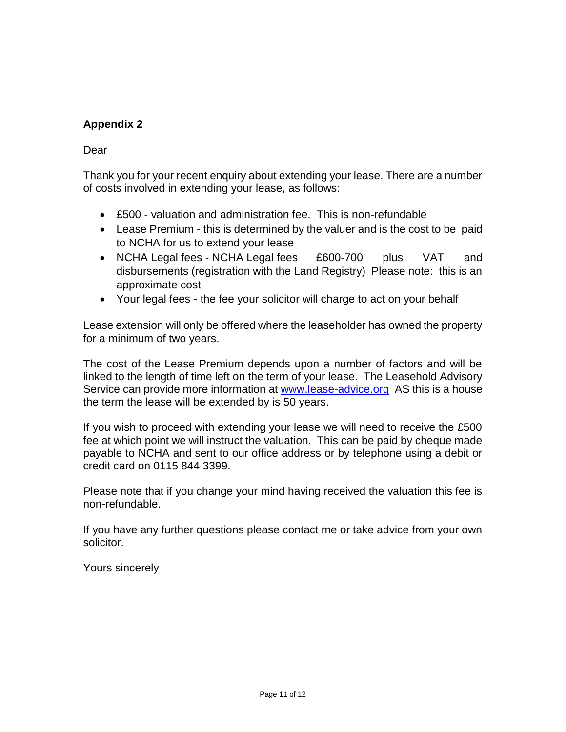# **Appendix 2**

# Dear

Thank you for your recent enquiry about extending your lease. There are a number of costs involved in extending your lease, as follows:

- £500 valuation and administration fee. This is non-refundable
- Lease Premium this is determined by the valuer and is the cost to be paid to NCHA for us to extend your lease
- NCHA Legal fees NCHA Legal fees £600-700 plus VAT and disbursements (registration with the Land Registry) Please note: this is an approximate cost
- Your legal fees the fee your solicitor will charge to act on your behalf

Lease extension will only be offered where the leaseholder has owned the property for a minimum of two years.

The cost of the Lease Premium depends upon a number of factors and will be linked to the length of time left on the term of your lease. The Leasehold Advisory Service can provide more information at [www.lease-advice.org](http://www.lease-advice.org/) AS this is a house the term the lease will be extended by is 50 years.

If you wish to proceed with extending your lease we will need to receive the £500 fee at which point we will instruct the valuation. This can be paid by cheque made payable to NCHA and sent to our office address or by telephone using a debit or credit card on 0115 844 3399.

Please note that if you change your mind having received the valuation this fee is non-refundable.

If you have any further questions please contact me or take advice from your own solicitor.

Yours sincerely